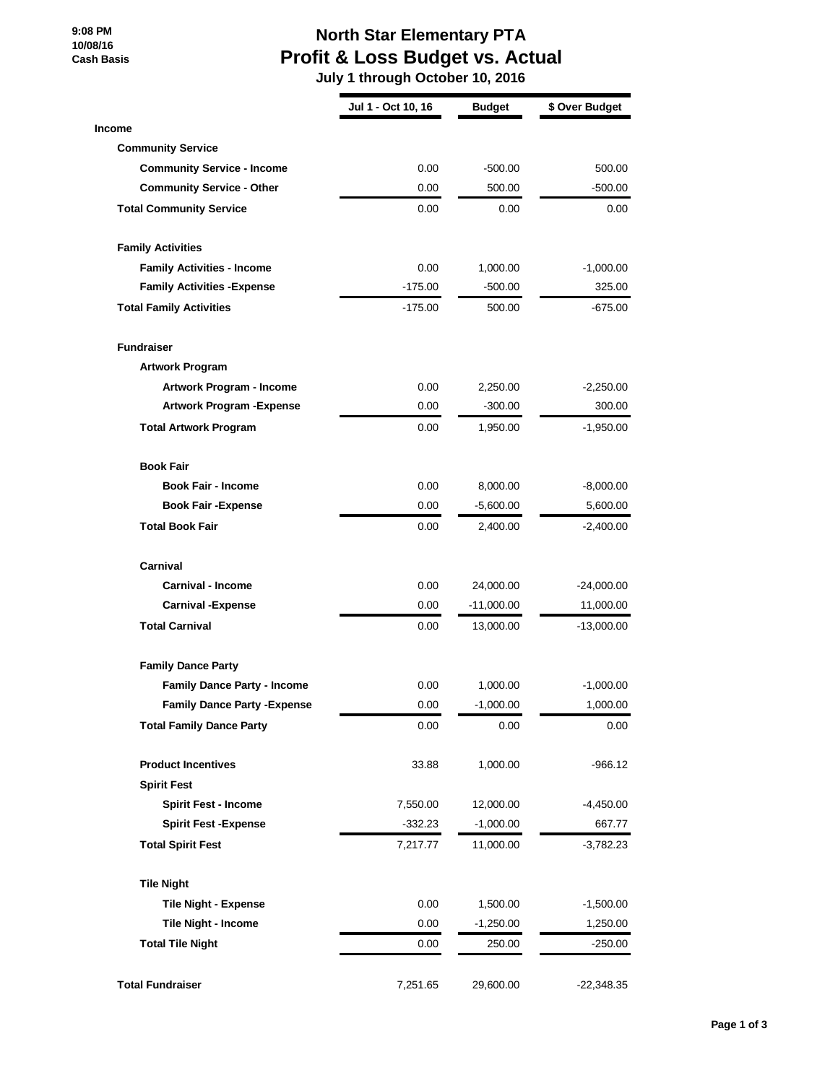**9:08 PM 10/08/16 Cash Basis**

## **North Star Elementary PTA Profit & Loss Budget vs. Actual**

 **July 1 through October 10, 2016**

|                                     | Jul 1 - Oct 10, 16 | <b>Budget</b> | \$ Over Budget |
|-------------------------------------|--------------------|---------------|----------------|
| <b>Income</b>                       |                    |               |                |
| <b>Community Service</b>            |                    |               |                |
| <b>Community Service - Income</b>   | 0.00               | $-500.00$     | 500.00         |
| <b>Community Service - Other</b>    | 0.00               | 500.00        | -500.00        |
| <b>Total Community Service</b>      | 0.00               | 0.00          | 0.00           |
| <b>Family Activities</b>            |                    |               |                |
| <b>Family Activities - Income</b>   | 0.00               | 1,000.00      | $-1,000.00$    |
| <b>Family Activities - Expense</b>  | $-175.00$          | $-500.00$     | 325.00         |
| <b>Total Family Activities</b>      | $-175.00$          | 500.00        | -675.00        |
| <b>Fundraiser</b>                   |                    |               |                |
| <b>Artwork Program</b>              |                    |               |                |
| Artwork Program - Income            | 0.00               | 2,250.00      | $-2,250.00$    |
| <b>Artwork Program - Expense</b>    | 0.00               | $-300.00$     | 300.00         |
| <b>Total Artwork Program</b>        | 0.00               | 1,950.00      | -1,950.00      |
| <b>Book Fair</b>                    |                    |               |                |
| <b>Book Fair - Income</b>           | 0.00               | 8,000.00      | $-8,000.00$    |
| <b>Book Fair - Expense</b>          | 0.00               | $-5,600.00$   | 5,600.00       |
| <b>Total Book Fair</b>              | 0.00               | 2,400.00      | $-2,400.00$    |
| Carnival                            |                    |               |                |
| <b>Carnival - Income</b>            | 0.00               | 24,000.00     | $-24,000.00$   |
| <b>Carnival -Expense</b>            | 0.00               | $-11,000.00$  | 11,000.00      |
| <b>Total Carnival</b>               | 0.00               | 13,000.00     | $-13,000.00$   |
| <b>Family Dance Party</b>           |                    |               |                |
| <b>Family Dance Party - Income</b>  | 0.00               | 1,000.00      | $-1,000.00$    |
| <b>Family Dance Party - Expense</b> | 0.00               | $-1,000.00$   | 1,000.00       |
| <b>Total Family Dance Party</b>     | 0.00               | 0.00          | 0.00           |
| <b>Product Incentives</b>           | 33.88              | 1,000.00      | $-966.12$      |
| <b>Spirit Fest</b>                  |                    |               |                |
| <b>Spirit Fest - Income</b>         | 7,550.00           | 12,000.00     | $-4,450.00$    |
| <b>Spirit Fest -Expense</b>         | $-332.23$          | $-1,000.00$   | 667.77         |
| <b>Total Spirit Fest</b>            | 7,217.77           | 11,000.00     | -3,782.23      |
| <b>Tile Night</b>                   |                    |               |                |
| <b>Tile Night - Expense</b>         | 0.00               | 1,500.00      | $-1,500.00$    |
| Tile Night - Income                 | 0.00               | $-1,250.00$   | 1,250.00       |
| <b>Total Tile Night</b>             | 0.00               | 250.00        | -250.00        |
| <b>Total Fundraiser</b>             | 7,251.65           | 29,600.00     | $-22,348.35$   |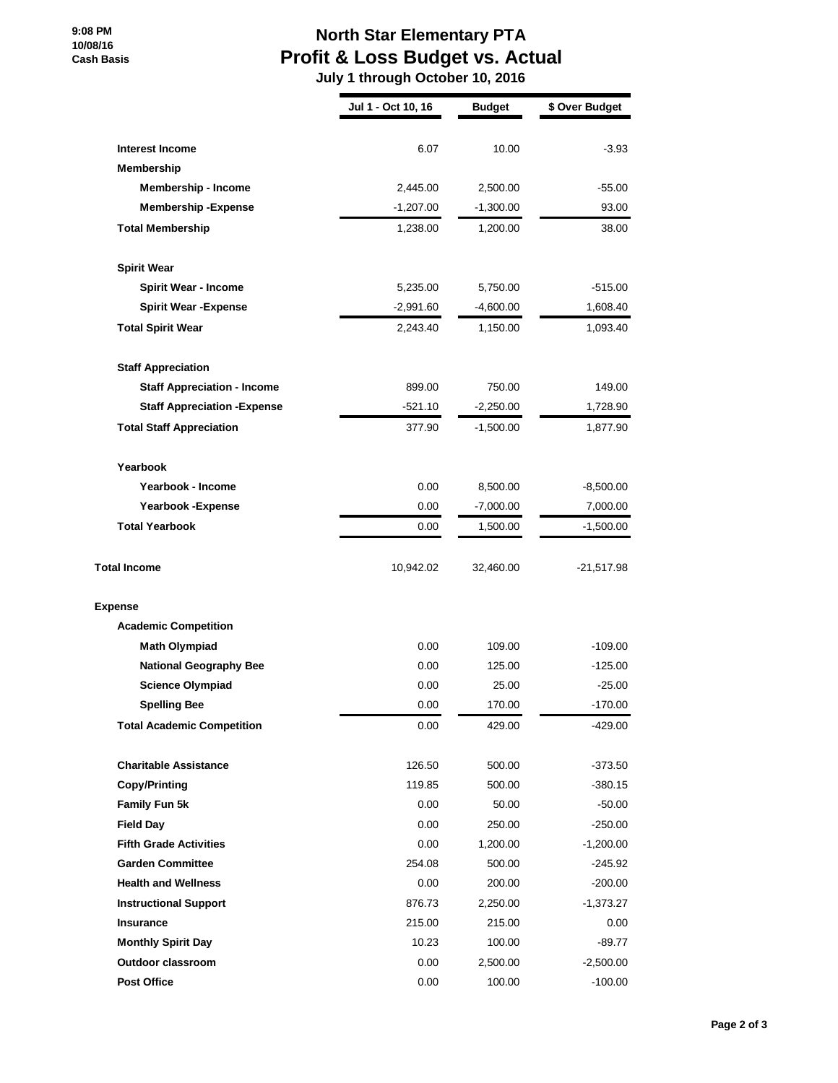**9:08 PM 10/08/16 Cash Basis**

## **North Star Elementary PTA Profit & Loss Budget vs. Actual**

 **July 1 through October 10, 2016**

|                                     | Jul 1 - Oct 10, 16 | <b>Budget</b> | \$ Over Budget |
|-------------------------------------|--------------------|---------------|----------------|
| <b>Interest Income</b>              | 6.07               | 10.00         | $-3.93$        |
| <b>Membership</b>                   |                    |               |                |
| <b>Membership - Income</b>          | 2,445.00           | 2,500.00      | $-55.00$       |
| <b>Membership-Expense</b>           | $-1,207.00$        | $-1,300.00$   | 93.00          |
| <b>Total Membership</b>             | 1,238.00           | 1,200.00      | 38.00          |
| <b>Spirit Wear</b>                  |                    |               |                |
| <b>Spirit Wear - Income</b>         | 5,235.00           | 5,750.00      | -515.00        |
| <b>Spirit Wear - Expense</b>        | $-2,991.60$        | $-4,600.00$   | 1,608.40       |
| <b>Total Spirit Wear</b>            | 2,243.40           | 1,150.00      | 1,093.40       |
| <b>Staff Appreciation</b>           |                    |               |                |
| <b>Staff Appreciation - Income</b>  | 899.00             | 750.00        | 149.00         |
| <b>Staff Appreciation - Expense</b> | -521.10            | $-2,250.00$   | 1,728.90       |
| <b>Total Staff Appreciation</b>     | 377.90             | $-1,500.00$   | 1,877.90       |
| Yearbook                            |                    |               |                |
| Yearbook - Income                   | 0.00               | 8,500.00      | $-8,500.00$    |
| Yearbook - Expense                  | 0.00               | $-7,000.00$   | 7,000.00       |
| <b>Total Yearbook</b>               | 0.00               | 1,500.00      | $-1,500.00$    |
| <b>Total Income</b>                 | 10,942.02          | 32,460.00     | $-21,517.98$   |
| <b>Expense</b>                      |                    |               |                |
| <b>Academic Competition</b>         |                    |               |                |
| <b>Math Olympiad</b>                | 0.00               | 109.00        | $-109.00$      |
| <b>National Geography Bee</b>       | 0.00               | 125.00        | -125.00        |
| <b>Science Olympiad</b>             | 0.00               | 25.00         | $-25.00$       |
| <b>Spelling Bee</b>                 | 0.00               | 170.00        | -170.00        |
| <b>Total Academic Competition</b>   | 0.00               | 429.00        | -429.00        |
| <b>Charitable Assistance</b>        | 126.50             | 500.00        | $-373.50$      |
| <b>Copy/Printing</b>                | 119.85             | 500.00        | $-380.15$      |
| Family Fun 5k                       | 0.00               | 50.00         | $-50.00$       |
| <b>Field Day</b>                    | 0.00               | 250.00        | $-250.00$      |
| <b>Fifth Grade Activities</b>       | 0.00               | 1,200.00      | $-1,200.00$    |
| <b>Garden Committee</b>             | 254.08             | 500.00        | -245.92        |
| <b>Health and Wellness</b>          | 0.00               | 200.00        | -200.00        |
| <b>Instructional Support</b>        | 876.73             | 2,250.00      | -1,373.27      |
| <b>Insurance</b>                    | 215.00             | 215.00        | 0.00           |
| <b>Monthly Spirit Day</b>           | 10.23              | 100.00        | $-89.77$       |
| <b>Outdoor classroom</b>            | 0.00               | 2,500.00      | $-2,500.00$    |
| <b>Post Office</b>                  | 0.00               | 100.00        | $-100.00$      |